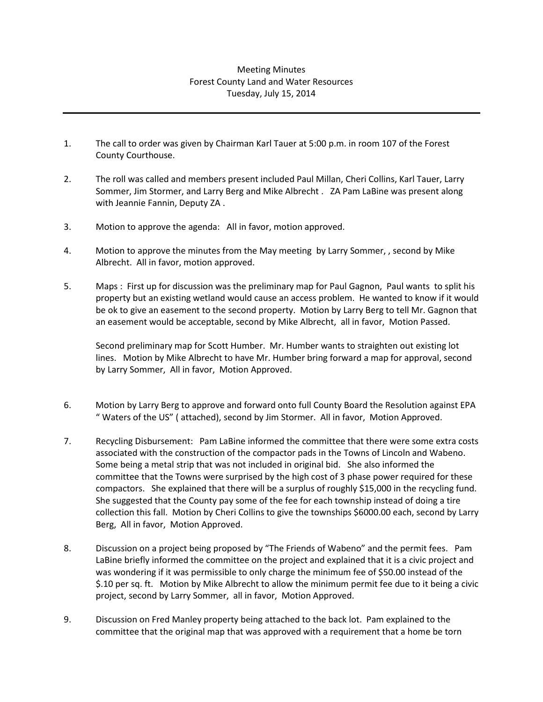## Meeting Minutes Forest County Land and Water Resources Tuesday, July 15, 2014

- 1. The call to order was given by Chairman Karl Tauer at 5:00 p.m. in room 107 of the Forest County Courthouse.
- 2. The roll was called and members present included Paul Millan, Cheri Collins, Karl Tauer, Larry Sommer, Jim Stormer, and Larry Berg and Mike Albrecht . ZA Pam LaBine was present along with Jeannie Fannin, Deputy ZA .
- 3. Motion to approve the agenda: All in favor, motion approved.
- 4. Motion to approve the minutes from the May meeting by Larry Sommer, , second by Mike Albrecht. All in favor, motion approved.
- 5. Maps : First up for discussion was the preliminary map for Paul Gagnon, Paul wants to split his property but an existing wetland would cause an access problem. He wanted to know if it would be ok to give an easement to the second property. Motion by Larry Berg to tell Mr. Gagnon that an easement would be acceptable, second by Mike Albrecht, all in favor, Motion Passed.

Second preliminary map for Scott Humber. Mr. Humber wants to straighten out existing lot lines. Motion by Mike Albrecht to have Mr. Humber bring forward a map for approval, second by Larry Sommer, All in favor, Motion Approved.

- 6. Motion by Larry Berg to approve and forward onto full County Board the Resolution against EPA " Waters of the US" ( attached), second by Jim Stormer. All in favor, Motion Approved.
- 7. Recycling Disbursement: Pam LaBine informed the committee that there were some extra costs associated with the construction of the compactor pads in the Towns of Lincoln and Wabeno. Some being a metal strip that was not included in original bid. She also informed the committee that the Towns were surprised by the high cost of 3 phase power required for these compactors. She explained that there will be a surplus of roughly \$15,000 in the recycling fund. She suggested that the County pay some of the fee for each township instead of doing a tire collection this fall. Motion by Cheri Collins to give the townships \$6000.00 each, second by Larry Berg, All in favor, Motion Approved.
- 8. Discussion on a project being proposed by "The Friends of Wabeno" and the permit fees. Pam LaBine briefly informed the committee on the project and explained that it is a civic project and was wondering if it was permissible to only charge the minimum fee of \$50.00 instead of the \$.10 per sq. ft. Motion by Mike Albrecht to allow the minimum permit fee due to it being a civic project, second by Larry Sommer, all in favor, Motion Approved.
- 9. Discussion on Fred Manley property being attached to the back lot. Pam explained to the committee that the original map that was approved with a requirement that a home be torn